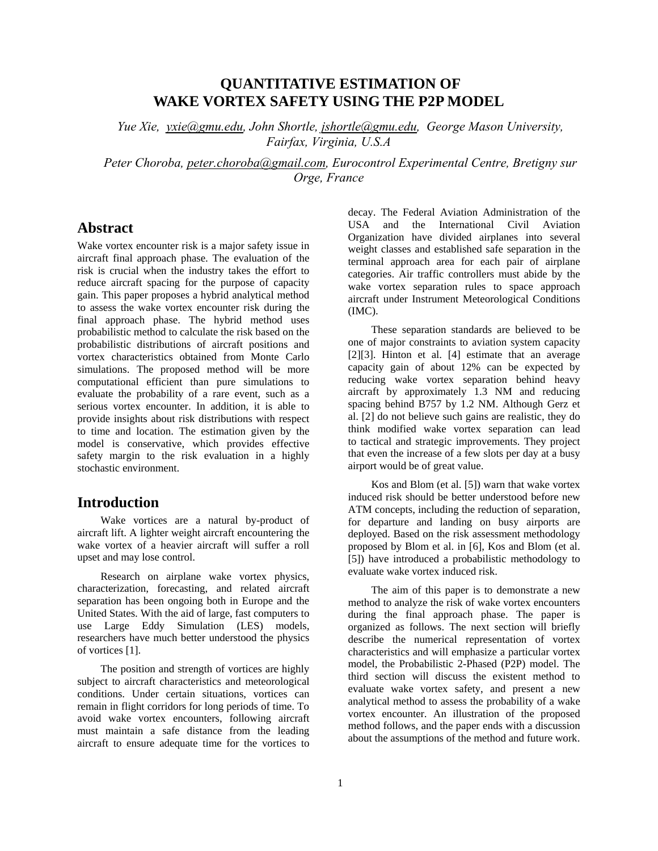# **QUANTITATIVE ESTIMATION OF WAKE VORTEX SAFETY USING THE P2P MODEL**

*Yue Xie, [yxie@gmu.edu](mailto:yxie@gmu.edu), John Shortle, [jshortle@gmu.edu,](mailto:jshortle@gmu.edu) George Mason University, Fairfax, Virginia, U.S.A* 

*Peter Choroba, peter.choroba@gmail.com, Eurocontrol Experimental Centre, Bretigny sur Orge, France* 

# **Abstract**

Wake vortex encounter risk is a major safety issue in aircraft final approach phase. The evaluation of the risk is crucial when the industry takes the effort to reduce aircraft spacing for the purpose of capacity gain. This paper proposes a hybrid analytical method to assess the wake vortex encounter risk during the final approach phase. The hybrid method uses probabilistic method to calculate the risk based on the probabilistic distributions of aircraft positions and vortex characteristics obtained from Monte Carlo simulations. The proposed method will be more computational efficient than pure simulations to evaluate the probability of a rare event, such as a serious vortex encounter. In addition, it is able to provide insights about risk distributions with respect to time and location. The estimation given by the model is conservative, which provides effective safety margin to the risk evaluation in a highly stochastic environment.

## **Introduction**

Wake vortices are a natural by-product of aircraft lift. A lighter weight aircraft encountering the wake vortex of a heavier aircraft will suffer a roll upset and may lose control.

Research on airplane wake vortex physics, characterization, forecasting, and related aircraft separation has been ongoing both in Europe and the United States. With the aid of large, fast computers to use Large Eddy Simulation (LES) models, researchers have much better understood the physics of vortices [1].

The position and strength of vortices are highly subject to aircraft characteristics and meteorological conditions. Under certain situations, vortices can remain in flight corridors for long periods of time. To avoid wake vortex encounters, following aircraft must maintain a safe distance from the leading aircraft to ensure adequate time for the vortices to

decay. The Federal Aviation Administration of the USA and the International Civil Aviation Organization have divided airplanes into several weight classes and established safe separation in the terminal approach area for each pair of airplane categories. Air traffic controllers must abide by the wake vortex separation rules to space approach aircraft under Instrument Meteorological Conditions (IMC).

These separation standards are believed to be one of major constraints to aviation system capacity [2][3]. Hinton et al. [4] estimate that an average capacity gain of about 12% can be expected by reducing wake vortex separation behind heavy aircraft by approximately 1.3 NM and reducing spacing behind B757 by 1.2 NM. Although Gerz et al. [2] do not believe such gains are realistic, they do think modified wake vortex separation can lead to tactical and strategic improvements. They project that even the increase of a few slots per day at a busy airport would be of great value.

Kos and Blom (et al. [5]) warn that wake vortex induced risk should be better understood before new ATM concepts, including the reduction of separation, for departure and landing on busy airports are deployed. Based on the risk assessment methodology proposed by Blom et al. in [6], Kos and Blom (et al. [5]) have introduced a probabilistic methodology to evaluate wake vortex induced risk.

The aim of this paper is to demonstrate a new method to analyze the risk of wake vortex encounters during the final approach phase. The paper is organized as follows. The next section will briefly describe the numerical representation of vortex characteristics and will emphasize a particular vortex model, the Probabilistic 2-Phased (P2P) model. The third section will discuss the existent method to evaluate wake vortex safety, and present a new analytical method to assess the probability of a wake vortex encounter. An illustration of the proposed method follows, and the paper ends with a discussion about the assumptions of the method and future work.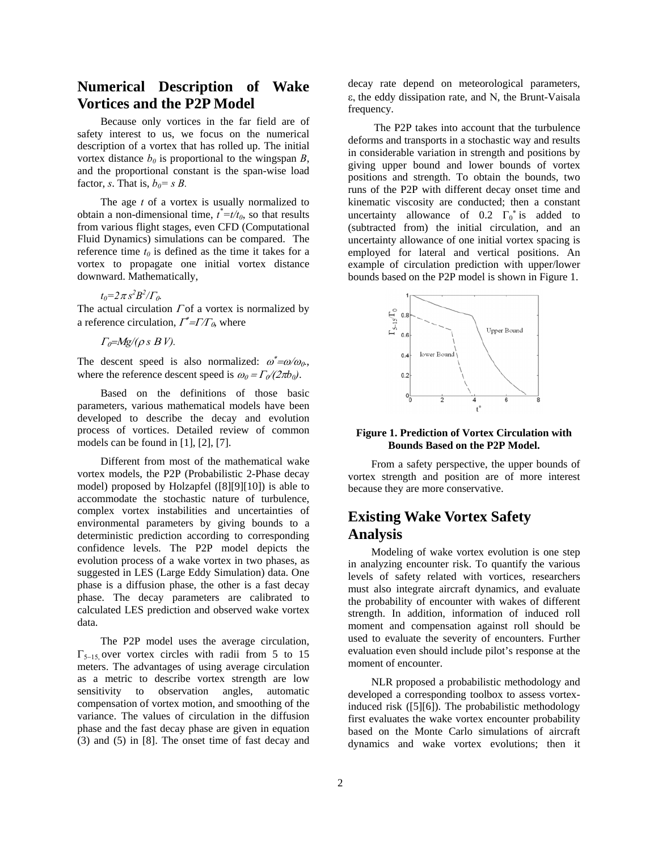# **Numerical Description of Wake Vortices and the P2P Model**

Because only vortices in the far field are of safety interest to us, we focus on the numerical description of a vortex that has rolled up. The initial vortex distance  $b_0$  is proportional to the wingspan *B*, and the proportional constant is the span-wise load factor, *s*. That is,  $b_0 = s B$ .

The age *t* of a vortex is usually normalized to obtain a non-dimensional time,  $t^* = t/t_0$ , so that results from various flight stages, even CFD (Computational Fluid Dynamics) simulations can be compared. The reference time  $t_0$  is defined as the time it takes for a vortex to propagate one initial vortex distance downward. Mathematically,

 $t_0 = 2\pi s^2 B^2 / \Gamma_0.$ 

The actual circulation  $\Gamma$  of a vortex is normalized by a reference circulation,  $\Gamma^* = \Gamma / \Gamma_0$ , where

 $\Gamma_0 = Mg/(\rho s B V)$ .

The descent speed is also normalized:  $\omega^* = \omega/\omega_0$ , where the reference descent speed is  $\omega_0 = \Gamma_0/(2\pi b_0)$ .

Based on the definitions of those basic parameters, various mathematical models have been developed to describe the decay and evolution process of vortices. Detailed review of common models can be found in [1], [2], [7].

Different from most of the mathematical wake vortex models, the P2P (Probabilistic 2-Phase decay model) proposed by Holzapfel ([8][9][10]) is able to accommodate the stochastic nature of turbulence, complex vortex instabilities and uncertainties of environmental parameters by giving bounds to a deterministic prediction according to corresponding confidence levels. The P2P model depicts the evolution process of a wake vortex in two phases, as suggested in LES (Large Eddy Simulation) data. One phase is a diffusion phase, the other is a fast decay phase. The decay parameters are calibrated to calculated LES prediction and observed wake vortex data.

The P2P model uses the average circulation,  $\Gamma_{5-15}$ , over vortex circles with radii from 5 to 15 meters. The advantages of using average circulation as a metric to describe vortex strength are low sensitivity to observation angles, automatic compensation of vortex motion, and smoothing of the variance. The values of circulation in the diffusion phase and the fast decay phase are given in equation (3) and (5) in [8]. The onset time of fast decay and decay rate depend on meteorological parameters, ε, the eddy dissipation rate, and Ν, the Brunt-Vaisala frequency.

 The P2P takes into account that the turbulence deforms and transports in a stochastic way and results in considerable variation in strength and positions by giving upper bound and lower bounds of vortex positions and strength. To obtain the bounds, two runs of the P2P with different decay onset time and kinematic viscosity are conducted; then a constant uncertainty allowance of 0.2  $\Gamma_0^*$  is added to (subtracted from) the initial circulation, and an uncertainty allowance of one initial vortex spacing is employed for lateral and vertical positions. An example of circulation prediction with upper/lower bounds based on the P2P model is shown in Figure 1.



#### **Figure 1. Prediction of Vortex Circulation with Bounds Based on the P2P Model.**

From a safety perspective, the upper bounds of vortex strength and position are of more interest because they are more conservative.

# **Existing Wake Vortex Safety Analysis**

Modeling of wake vortex evolution is one step in analyzing encounter risk. To quantify the various levels of safety related with vortices, researchers must also integrate aircraft dynamics, and evaluate the probability of encounter with wakes of different strength. In addition, information of induced roll moment and compensation against roll should be used to evaluate the severity of encounters. Further evaluation even should include pilot's response at the moment of encounter.

NLR proposed a probabilistic methodology and developed a corresponding toolbox to assess vortexinduced risk ([5][6]). The probabilistic methodology first evaluates the wake vortex encounter probability based on the Monte Carlo simulations of aircraft dynamics and wake vortex evolutions; then it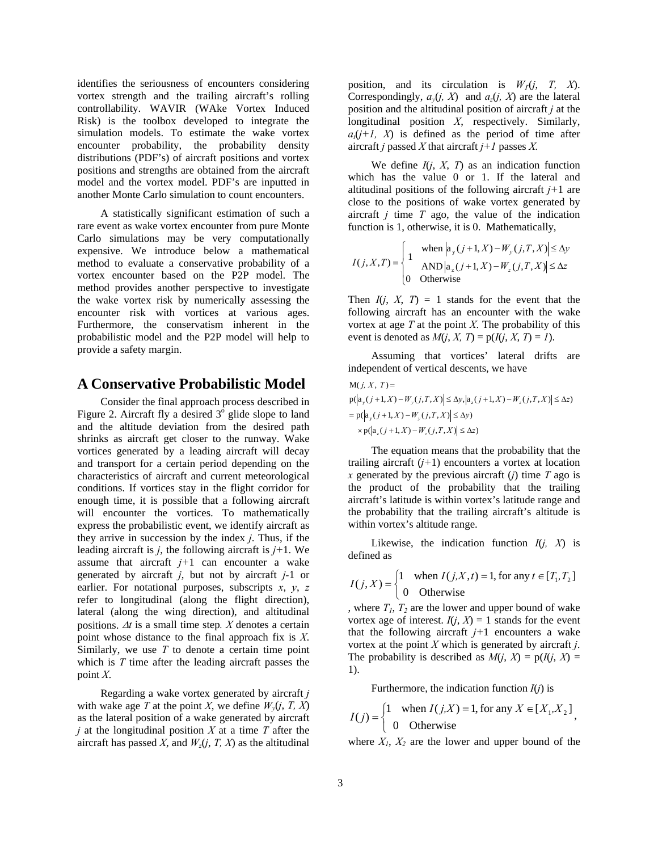identifies the seriousness of encounters considering vortex strength and the trailing aircraft's rolling controllability. WAVIR (WAke Vortex Induced Risk) is the toolbox developed to integrate the simulation models. To estimate the wake vortex encounter probability, the probability density distributions (PDF's) of aircraft positions and vortex positions and strengths are obtained from the aircraft model and the vortex model. PDF's are inputted in another Monte Carlo simulation to count encounters.

A statistically significant estimation of such a rare event as wake vortex encounter from pure Monte Carlo simulations may be very computationally expensive. We introduce below a mathematical method to evaluate a conservative probability of a vortex encounter based on the P2P model. The method provides another perspective to investigate the wake vortex risk by numerically assessing the encounter risk with vortices at various ages. Furthermore, the conservatism inherent in the probabilistic model and the P2P model will help to provide a safety margin.

## **A Conservative Probabilistic Model**

Consider the final approach process described in Figure 2. Aircraft fly a desired  $3^{\circ}$  glide slope to land and the altitude deviation from the desired path shrinks as aircraft get closer to the runway. Wake vortices generated by a leading aircraft will decay and transport for a certain period depending on the characteristics of aircraft and current meteorological conditions. If vortices stay in the flight corridor for enough time, it is possible that a following aircraft will encounter the vortices. To mathematically express the probabilistic event, we identify aircraft as they arrive in succession by the index *j*. Thus, if the leading aircraft is *j*, the following aircraft is *j+*1. We assume that aircraft  $j+1$  can encounter a wake generated by aircraft *j*, but not by aircraft *j-*1 or earlier. For notational purposes, subscripts *x*, *y*, *z* refer to longitudinal (along the flight direction), lateral (along the wing direction), and altitudinal positions. Δ*t* is a small time step*. X* denotes a certain point whose distance to the final approach fix is *X*. Similarly, we use *T* to denote a certain time point which is *T* time after the leading aircraft passes the point *X*.

Regarding a wake vortex generated by aircraft *j*  with wake age *T* at the point *X*, we define  $W_v(i, T, X)$ as the lateral position of a wake generated by aircraft *j* at the longitudinal position *X* at a time *T* after the aircraft has passed *X*, and  $W_z(j, T, X)$  as the altitudinal

position, and its circulation is  $W<sub>1</sub>(i, T, X)$ . Correspondingly,  $a_v(j, X)$  and  $a_z(j, X)$  are the lateral position and the altitudinal position of aircraft *j* at the longitudinal position *X*, respectively. Similarly,  $a_t(j+1, X)$  is defined as the period of time after aircraft *j* passed *X* that aircraft *j+1* passes *X.*

We define  $I(j, X, T)$  as an indication function which has the value 0 or 1. If the lateral and altitudinal positions of the following aircraft *j+*1 are close to the positions of wake vortex generated by aircraft *j* time *T* ago, the value of the indication function is 1, otherwise, it is 0. Mathematically,

$$
I(j, X, T) = \begin{cases} 1 & \text{when } \left| a_y(j+1, X) - W_y(j, T, X) \right| \le \Delta y \\ 1 & \text{AND } \left| a_z(j+1, X) - W_z(j, T, X) \right| \le \Delta z \\ 0 & \text{Otherwise} \end{cases}
$$

Then  $I(i, X, T) = 1$  stands for the event that the following aircraft has an encounter with the wake vortex at age  $T$  at the point  $X$ . The probability of this event is denoted as  $M(j, X, T) = p(I(j, X, T) = I)$ .

Assuming that vortices' lateral drifts are independent of vertical descents, we have

$$
M(j, X, T) =
$$
  
\n
$$
p(|a_y(j+1, X) - W_y(j, T, X)| \le \Delta y, |a_z(j+1, X) - W_z(j, T, X)| \le \Delta z)
$$
  
\n
$$
= p(|a_y(j+1, X) - W_y(j, T, X)| \le \Delta y)
$$
  
\n
$$
\times p(|a_z(j+1, X) - W_z(j, T, X)| \le \Delta z)
$$

The equation means that the probability that the trailing aircraft  $(j+1)$  encounters a vortex at location *x* generated by the previous aircraft (*j*) time *T* ago is the product of the probability that the trailing aircraft's latitude is within vortex's latitude range and the probability that the trailing aircraft's altitude is within vortex's altitude range.

Likewise, the indication function  $I(j, X)$  is defined as

$$
I(j, X) = \begin{cases} 1 & \text{when } I(j, X, t) = 1 \text{, for any } t \in [T_1, T_2] \\ 0 & \text{Otherwise} \end{cases}
$$

, where  $T_1$ ,  $T_2$  are the lower and upper bound of wake vortex age of interest.  $I(j, X) = 1$  stands for the event that the following aircraft  $j+1$  encounters a wake vortex at the point *X* which is generated by aircraft *j*. The probability is described as  $M(i, X) = p(I(i, X))$ 1).

Furthermore, the indication function *I*(*j*) is

$$
I(j) = \begin{cases} 1 & \text{when } I(j, X) = 1 \text{, for any } X \in [X_1, X_2], \\ 0 & \text{Otherwise} \end{cases}
$$

where  $X_1$ ,  $X_2$  are the lower and upper bound of the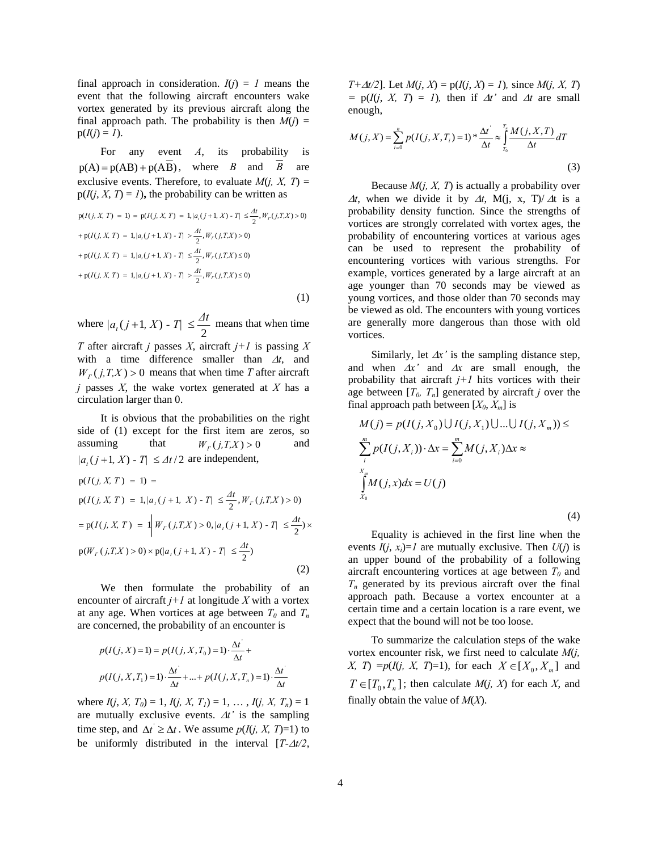final approach in consideration.  $I(j) = 1$  means the event that the following aircraft encounters wake vortex generated by its previous aircraft along the final approach path. The probability is then  $M(i)$  =  $p(I(j) = 1)$ .

For any event *A*, its probability is  $p(A) = p(AB) + p(A\overline{B})$ , where *B* and *B* are exclusive events. Therefore, to evaluate  $M(j, X, T) =$  $p(I(j, X, T) = I)$ , the probability can be written as

$$
p(I(j, X, T) = 1) = p(I(j, X, T) = 1, |a_i(j + 1, X) - T| \leq \frac{At}{2}, W_T(j, T, X) > 0)
$$
  
+ 
$$
p(I(j, X, T) = 1, |a_i(j + 1, X) - T| > \frac{At}{2}, W_T(j, T, X) > 0)
$$
  
+ 
$$
p(I(j, X, T) = 1, |a_i(j + 1, X) - T| \leq \frac{At}{2}, W_T(j, T, X) \leq 0)
$$
  
+ 
$$
p(I(j, X, T) = 1, |a_i(j + 1, X) - T| > \frac{At}{2}, W_T(j, T, X) \leq 0)
$$
 (1)

where  $|a_{t}(j+1, X) - T| \leq \frac{\Delta t}{2}$  means that when time *T* after aircraft *j* passes *X*, aircraft *j+1* is passing *X* with a time difference smaller than Δ*t*, and  $W_{\Gamma}(j,T,X) > 0$  means that when time *T* after aircraft *j* passes *X*, the wake vortex generated at *X* has a circulation larger than 0.

It is obvious that the probabilities on the right side of (1) except for the first item are zeros, so assuming that  $W_r(j,T,X) > 0$  and  $|a_t(j+1, X) - T| \leq \Delta t/2$  are independent,  $p(W_r(j, T, X) > 0) \times p(|a_r(j + 1, X) - T| \leq \frac{\Delta t}{2})$  $= p(I(j, X, T)) = 1 |W_r(j, T, X) > 0, |a_r(j+1, X) - T| \leq \frac{\Delta t}{2}$  $p(I(j, X, T) = 1, |a_i(j + 1, X) - T| \leq \frac{\Delta t}{2}, W_r(j, T, X) > 0$  $p(I(j, X, T) = 1) =$ 

We then formulate the probability of an encounter of aircraft  $j+1$  at longitude X with a vortex at any age. When vortices at age between  $T_0$  and  $T_n$ are concerned, the probability of an encounter is

$$
p(I(j, X) = 1) = p(I(j, X, T_0) = 1) \cdot \frac{\Delta t}{\Delta t} +
$$
  

$$
p(I(j, X, T_1) = 1) \cdot \frac{\Delta t}{\Delta t} + ... + p(I(j, X, T_n) = 1) \cdot \frac{\Delta t}{\Delta t}
$$

where  $I(j, X, T_0) = 1, I(j, X, T_1) = 1, \ldots, I(j, X, T_n) = 1$ are mutually exclusive events. Δ*t'* is the sampling time step, and  $\Delta t \geq \Delta t$ . We assume  $p(I(j, X, T)=1)$  to be uniformly distributed in the interval [*T-*Δ*t/2*,

*T*+ $\Delta t/2$ ]. Let  $M(i, X) = p(I(i, X) = 1)$ , since  $M(i, X, T)$  $= p(I(j, X, T) = I)$ , then if  $\Delta t$  and  $\Delta t$  are small enough,

$$
M(j, X) = \sum_{i=0}^{n} p(I(j, X, T_i) = 1) * \frac{\Delta t}{\Delta t} \approx \int_{T_0}^{T_i} \frac{M(j, X, T)}{\Delta t} dT
$$
\n(3)

Because *M*(*j, X, T*) is actually a probability over  $\Delta t$ , when we divide it by  $\Delta t$ , M(j, x, T)/ $\Delta t$  is a probability density function. Since the strengths of vortices are strongly correlated with vortex ages, the probability of encountering vortices at various ages can be used to represent the probability of encountering vortices with various strengths. For example, vortices generated by a large aircraft at an age younger than 70 seconds may be viewed as young vortices, and those older than 70 seconds may be viewed as old. The encounters with young vortices are generally more dangerous than those with old vortices.

Similarly, let  $\Delta x$ <sup>'</sup> is the sampling distance step, and when Δ*x'* and Δ*x* are small enough, the probability that aircraft  $j+1$  hits vortices with their age between  $[T_0, T_n]$  generated by aircraft *j* over the final approach path between  $[X_0, X_m]$  is

$$
M(j) = p(I(j, X_0) \cup I(j, X_1) \cup ... \cup I(j, X_m)) \le
$$
  
\n
$$
\sum_{i}^{m} p(I(j, X_i)) \cdot \Delta x = \sum_{i=0}^{m} M(j, X_i) \Delta x \approx
$$
  
\n
$$
\int_{X_0}^{X_m} M(j, x) dx = U(j)
$$
\n(4)

Equality is achieved in the first line when the events  $I(i, x_i)=1$  are mutually exclusive. Then  $U(i)$  is an upper bound of the probability of a following aircraft encountering vortices at age between  $T_0$  and  $T_n$  generated by its previous aircraft over the final approach path. Because a vortex encounter at a certain time and a certain location is a rare event, we expect that the bound will not be too loose.

To summarize the calculation steps of the wake vortex encounter risk, we first need to calculate *M*(*j, X, T*) =  $p(I(j, X, T)=1)$ , for each  $X \in [X_0, X_0]$  and  $T \in [T_0, T_n]$ ; then calculate *M*(*j, X*) for each *X*, and finally obtain the value of *M*(*X*).

(2)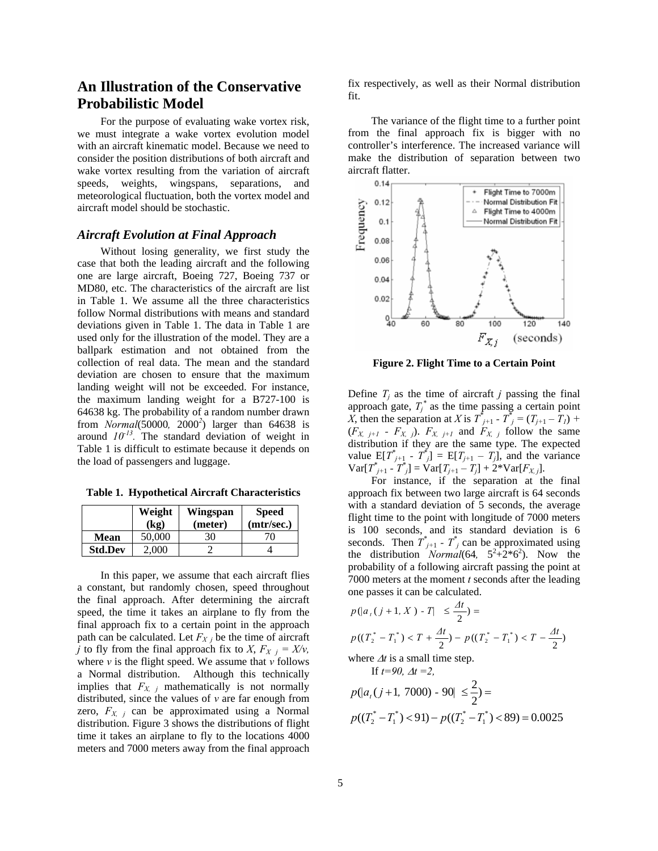# **An Illustration of the Conservative Probabilistic Model**

For the purpose of evaluating wake vortex risk, we must integrate a wake vortex evolution model with an aircraft kinematic model. Because we need to consider the position distributions of both aircraft and wake vortex resulting from the variation of aircraft speeds, weights, wingspans, separations, and meteorological fluctuation, both the vortex model and aircraft model should be stochastic.

### *Aircraft Evolution at Final Approach*

Without losing generality, we first study the case that both the leading aircraft and the following one are large aircraft, Boeing 727, Boeing 737 or MD80, etc. The characteristics of the aircraft are list in Table 1. We assume all the three characteristics follow Normal distributions with means and standard deviations given in Table 1. The data in Table 1 are used only for the illustration of the model. They are a ballpark estimation and not obtained from the collection of real data. The mean and the standard deviation are chosen to ensure that the maximum landing weight will not be exceeded. For instance, the maximum landing weight for a B727-100 is 64638 kg. The probability of a random number drawn from *Normal*(50000*,* 2000*<sup>2</sup>* ) larger than 64638 is around  $10^{-13}$ . The standard deviation of weight in Table 1 is difficult to estimate because it depends on the load of passengers and luggage.

**Table 1. Hypothetical Aircraft Characteristics** 

|                | Weight<br>(kg) | Wingspan<br>(meter) | <b>Speed</b><br>(mtr/sec.) |
|----------------|----------------|---------------------|----------------------------|
| <b>Mean</b>    | 50,000         | 30                  | 70.                        |
| <b>Std.Dev</b> | 2.000          |                     |                            |

In this paper, we assume that each aircraft flies a constant, but randomly chosen, speed throughout the final approach. After determining the aircraft speed, the time it takes an airplane to fly from the final approach fix to a certain point in the approach path can be calculated. Let  $F_{X}$  *j* be the time of aircraft *j* to fly from the final approach fix to *X*,  $F_X$  *j* =  $X/v$ , where  $v$  is the flight speed. We assume that  $v$  follows a Normal distribution. Although this technically implies that  $F_{X, i}$  mathematically is not normally distributed, since the values of *v* are far enough from zero,  $F_{X,i}$  can be approximated using a Normal distribution. Figure 3 shows the distributions of flight time it takes an airplane to fly to the locations 4000 meters and 7000 meters away from the final approach

fix respectively, as well as their Normal distribution fit.

The variance of the flight time to a further point from the final approach fix is bigger with no controller's interference. The increased variance will make the distribution of separation between two aircraft flatter.



**Figure 2. Flight Time to a Certain Point** 

Define  $T_i$  as the time of aircraft *j* passing the final approach gate,  $T_i^*$  as the time passing a certain point *X*, then the separation at *X* is  $T^{*}_{j+1}$  -  $T^{*}_{j} = (T_{j+1} - T_{j})$  +  $(F_{X, j+1} - F_{X, j})$ .  $F_{X, j+1}$  and  $F_{X, j}$  follow the same distribution if they are the same type. The expected value  $E[T^*_{j+1} - T^*_{j}] = E[T_{j+1} - T_{j}]$ , and the variance  $Var[T^*_{j+1} - T^*_{j}] = Var[T_{j+1} - T_{j}] + 2*Var[F_{X,j}].$ 

For instance, if the separation at the final approach fix between two large aircraft is 64 seconds with a standard deviation of 5 seconds, the average flight time to the point with longitude of 7000 meters is 100 seconds, and its standard deviation is 6 seconds. Then  $T^*_{j+1}$  -  $T^*_{j}$  can be approximated using the distribution *Normal*(64,  $5^2 + 2^*6^2$ ). Now the probability of a following aircraft passing the point at 7000 meters at the moment *t* seconds after the leading one passes it can be calculated.

$$
p(|a_{\iota}(j+1, X) - T| \le \frac{\Delta t}{2}) =
$$
  

$$
p((T_2^* - T_1^*) < T + \frac{\Delta t}{2}) - p((T_2^* - T_1^*) < T - \frac{\Delta t}{2})
$$

where  $\Delta t$  is a small time step.

If  $t=90$ ,  $\Lambda t=2$ ,

$$
p(|a_{t}(j+1, 7000) - 90| \leq \frac{2}{2}) =
$$
  
 
$$
p((T_2^* - T_1^*) < 91) - p((T_2^* - T_1^*) < 89) = 0.0025
$$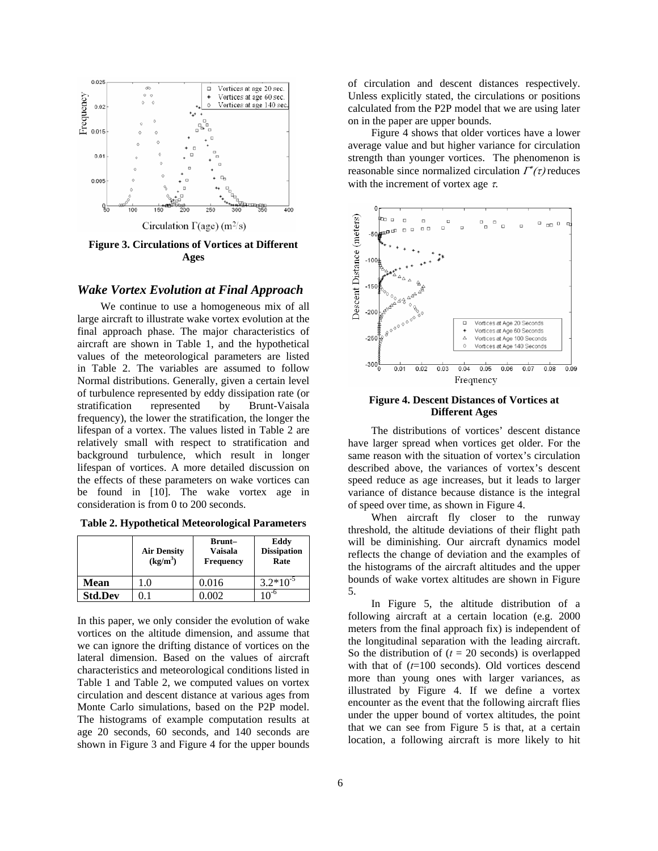

Circulation  $\Gamma(\text{age})$  (m<sup>2</sup>/s)

**Figure 3. Circulations of Vortices at Different Ages** 

### *Wake Vortex Evolution at Final Approach*

We continue to use a homogeneous mix of all large aircraft to illustrate wake vortex evolution at the final approach phase. The major characteristics of aircraft are shown in Table 1, and the hypothetical values of the meteorological parameters are listed in Table 2. The variables are assumed to follow Normal distributions. Generally, given a certain level of turbulence represented by eddy dissipation rate (or stratification represented by Brunt-Vaisala frequency), the lower the stratification, the longer the lifespan of a vortex. The values listed in Table 2 are relatively small with respect to stratification and background turbulence, which result in longer lifespan of vortices. A more detailed discussion on the effects of these parameters on wake vortices can be found in [10]. The wake vortex age in consideration is from 0 to 200 seconds.

|                | <b>Air Density</b><br>(kg/m <sup>3</sup> ) | Brunt-<br>Vaisala<br><b>Frequency</b> | Eddy<br><b>Dissipation</b><br>Rate |
|----------------|--------------------------------------------|---------------------------------------|------------------------------------|
| <b>Mean</b>    | 1.0                                        | 0.016                                 | $3.2*10^{-5}$                      |
| <b>Std.Dev</b> |                                            | $002 -$                               | $10^{-6}$                          |

**Table 2. Hypothetical Meteorological Parameters** 

In this paper, we only consider the evolution of wake vortices on the altitude dimension, and assume that we can ignore the drifting distance of vortices on the lateral dimension. Based on the values of aircraft characteristics and meteorological conditions listed in Table 1 and Table 2, we computed values on vortex circulation and descent distance at various ages from Monte Carlo simulations, based on the P2P model. The histograms of example computation results at age 20 seconds, 60 seconds, and 140 seconds are shown in Figure 3 and Figure 4 for the upper bounds of circulation and descent distances respectively. Unless explicitly stated, the circulations or positions calculated from the P2P model that we are using later on in the paper are upper bounds.

Figure 4 shows that older vortices have a lower average value and but higher variance for circulation strength than younger vortices. The phenomenon is reasonable since normalized circulation  $\Gamma^*(\tau)$  reduces with the increment of vortex age  $\tau$ .



### **Figure 4. Descent Distances of Vortices at Different Ages**

The distributions of vortices' descent distance have larger spread when vortices get older. For the same reason with the situation of vortex's circulation described above, the variances of vortex's descent speed reduce as age increases, but it leads to larger variance of distance because distance is the integral of speed over time, as shown in Figure 4.

When aircraft fly closer to the runway threshold, the altitude deviations of their flight path will be diminishing. Our aircraft dynamics model reflects the change of deviation and the examples of the histograms of the aircraft altitudes and the upper bounds of wake vortex altitudes are shown in Figure 5.

In Figure 5, the altitude distribution of a following aircraft at a certain location (e.g. 2000 meters from the final approach fix) is independent of the longitudinal separation with the leading aircraft. So the distribution of  $(t = 20$  seconds) is overlapped with that of (*t*=100 seconds). Old vortices descend more than young ones with larger variances, as illustrated by Figure 4. If we define a vortex encounter as the event that the following aircraft flies under the upper bound of vortex altitudes, the point that we can see from Figure 5 is that, at a certain location, a following aircraft is more likely to hit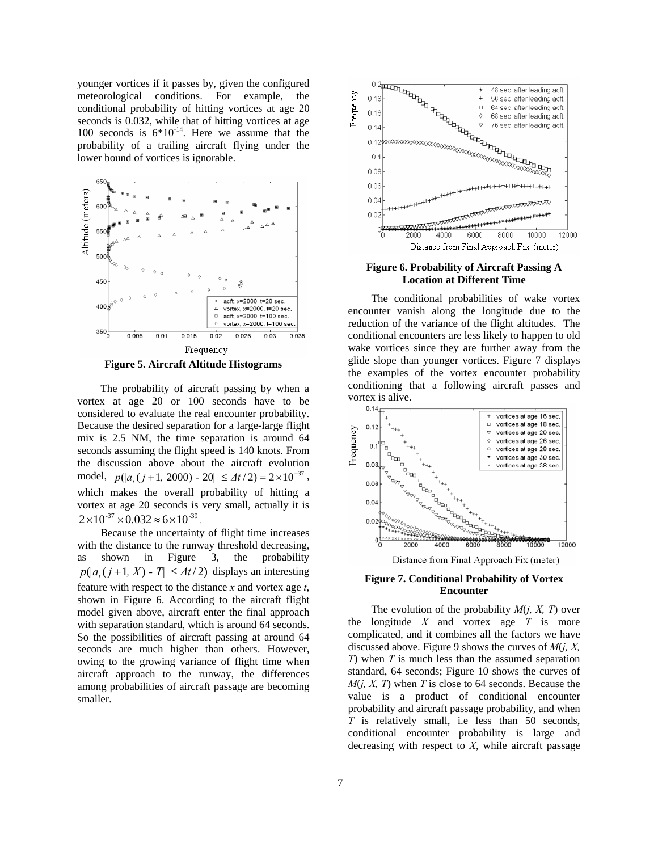younger vortices if it passes by, given the configured meteorological conditions. For example, the conditional probability of hitting vortices at age 20 seconds is 0.032, while that of hitting vortices at age 100 seconds is  $6*10^{-14}$ . Here we assume that the probability of a trailing aircraft flying under the lower bound of vortices is ignorable.



The probability of aircraft passing by when a vortex at age 20 or 100 seconds have to be considered to evaluate the real encounter probability. Because the desired separation for a large-large flight mix is 2.5 NM, the time separation is around 64 seconds assuming the flight speed is 140 knots. From the discussion above about the aircraft evolution model,  $p(|a_{t}(j + 1, 2000) - 20| \le \Delta t/2 = 2 \times 10^{-37}$ , which makes the overall probability of hitting a vortex at age 20 seconds is very small, actually it is  $2 \times 10^{-37} \times 0.032 \approx 6 \times 10^{-39}$ .

Because the uncertainty of flight time increases with the distance to the runway threshold decreasing, as shown in Figure 3, the probability  $p(|a_t(j+1, X) - T| \leq \Delta t/2)$  displays an interesting feature with respect to the distance *x* and vortex age *t*, shown in Figure 6. According to the aircraft flight model given above, aircraft enter the final approach with separation standard, which is around 64 seconds. So the possibilities of aircraft passing at around 64 seconds are much higher than others. However, owing to the growing variance of flight time when aircraft approach to the runway, the differences among probabilities of aircraft passage are becoming smaller.



### **Figure 6. Probability of Aircraft Passing A Location at Different Time**

The conditional probabilities of wake vortex encounter vanish along the longitude due to the reduction of the variance of the flight altitudes. The conditional encounters are less likely to happen to old wake vortices since they are further away from the glide slope than younger vortices. Figure 7 displays the examples of the vortex encounter probability conditioning that a following aircraft passes and vortex is alive.



Distance from Final Approach Fix (meter)

#### **Figure 7. Conditional Probability of Vortex Encounter**

The evolution of the probability *M*(*j, X, T*) over the longitude *X* and vortex age *T* is more complicated, and it combines all the factors we have discussed above. Figure 9 shows the curves of *M*(*j, X, T*) when *T* is much less than the assumed separation standard, 64 seconds; Figure 10 shows the curves of *M*(*j, X, T*) when *T* is close to 64 seconds. Because the value is a product of conditional encounter probability and aircraft passage probability, and when *T* is relatively small, i.e less than 50 seconds, conditional encounter probability is large and decreasing with respect to *X*, while aircraft passage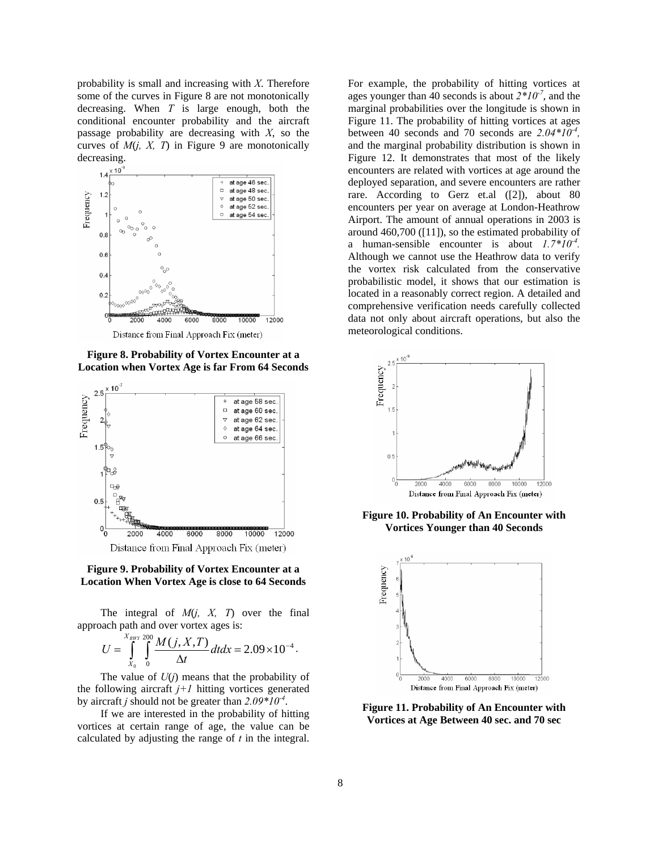probability is small and increasing with *X*. Therefore some of the curves in Figure 8 are not monotonically decreasing. When *T* is large enough, both the conditional encounter probability and the aircraft passage probability are decreasing with *X*, so the curves of *M*(*j, X, T*) in Figure 9 are monotonically decreasing.



**Figure 8. Probability of Vortex Encounter at a Location when Vortex Age is far From 64 Seconds** 



#### **Figure 9. Probability of Vortex Encounter at a Location When Vortex Age is close to 64 Seconds**

The integral of *M*(*j, X, T*) over the final approach path and over vortex ages is:

$$
U=\int_{X_0}^{X_{RHY}}\int_{0}^{200}\frac{M(j,X,T)}{\Delta t}dtdx=2.09\times10^{-4}.
$$

The value of *U*(*j*) means that the probability of the following aircraft  $j+1$  hitting vortices generated by aircraft *j* should not be greater than *2.09\*10-4*.

If we are interested in the probability of hitting vortices at certain range of age, the value can be calculated by adjusting the range of *t* in the integral. For example, the probability of hitting vortices at ages younger than 40 seconds is about  $2*10<sup>-7</sup>$ , and the marginal probabilities over the longitude is shown in Figure 11. The probability of hitting vortices at ages between 40 seconds and 70 seconds are  $2.04*10<sup>-4</sup>$ , and the marginal probability distribution is shown in Figure 12. It demonstrates that most of the likely encounters are related with vortices at age around the deployed separation, and severe encounters are rather rare. According to Gerz et.al ([2]), about 80 encounters per year on average at London-Heathrow Airport. The amount of annual operations in 2003 is around 460,700 ([11]), so the estimated probability of a human-sensible encounter is about *1.7\*10-4.* Although we cannot use the Heathrow data to verify the vortex risk calculated from the conservative probabilistic model, it shows that our estimation is located in a reasonably correct region. A detailed and comprehensive verification needs carefully collected data not only about aircraft operations, but also the meteorological conditions.



**Figure 10. Probability of An Encounter with Vortices Younger than 40 Seconds** 



**Figure 11. Probability of An Encounter with Vortices at Age Between 40 sec. and 70 sec**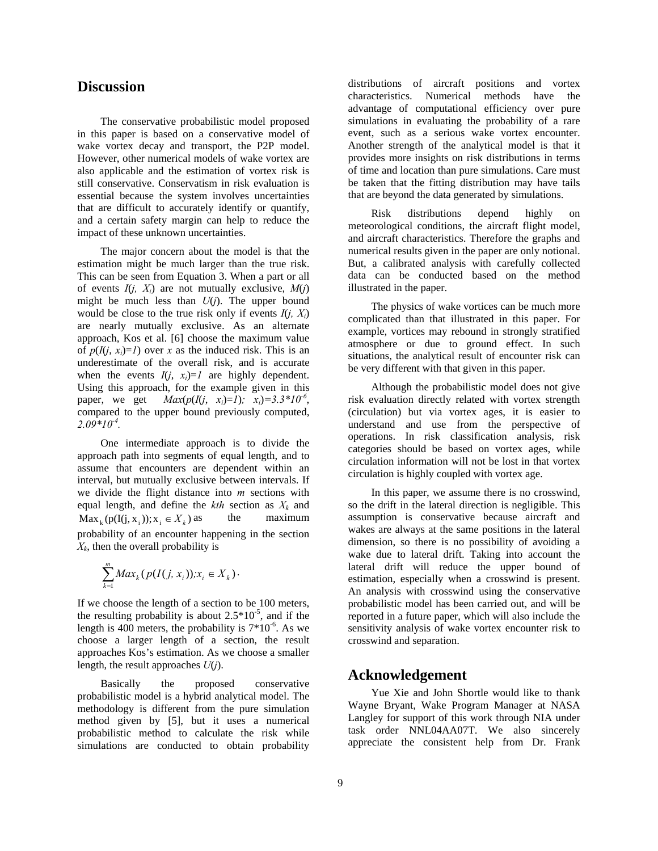# **Discussion**

The conservative probabilistic model proposed in this paper is based on a conservative model of wake vortex decay and transport, the P2P model. However, other numerical models of wake vortex are also applicable and the estimation of vortex risk is still conservative. Conservatism in risk evaluation is essential because the system involves uncertainties that are difficult to accurately identify or quantify, and a certain safety margin can help to reduce the impact of these unknown uncertainties.

The major concern about the model is that the estimation might be much larger than the true risk. This can be seen from Equation 3. When a part or all of events  $I(j, X_i)$  are not mutually exclusive,  $M(j)$ might be much less than  $U(i)$ . The upper bound would be close to the true risk only if events  $I(j, X_i)$ are nearly mutually exclusive. As an alternate approach, Kos et al. [6] choose the maximum value of  $p(I(i, x_i)=1)$  over x as the induced risk. This is an underestimate of the overall risk, and is accurate when the events  $I(i, x_i)=1$  are highly dependent. Using this approach, for the example given in this paper, we get  $Max(p(I(i, x_i)=1); x_i)=3.3*10^{-6}$ , compared to the upper bound previously computed, *2.09\*10-4.*

One intermediate approach is to divide the approach path into segments of equal length, and to assume that encounters are dependent within an interval, but mutually exclusive between intervals. If we divide the flight distance into *m* sections with equal length, and define the  $kth$  section as  $X_k$  and the maximum probability of an encounter happening in the section *X <sup>k</sup>*, then the overall probability is  $\text{Max}_{k} (p(I(j, x_i)); x_i \in X_k)$  as

$$
\sum_{k=1}^m Max_k(p(I(j, x_i)); x_i \in X_k).
$$

If we choose the length of a section to be 100 meters, the resulting probability is about  $2.5*10^{-5}$ , and if the length is 400 meters, the probability is  $7*10^{-6}$ . As we choose a larger length of a section, the result approaches Kos's estimation. As we choose a smaller length, the result approaches *U*(*j*).

Basically the proposed conservative probabilistic model is a hybrid analytical model. The methodology is different from the pure simulation method given by [5], but it uses a numerical probabilistic method to calculate the risk while simulations are conducted to obtain probability distributions of aircraft positions and vortex characteristics. Numerical methods have the advantage of computational efficiency over pure simulations in evaluating the probability of a rare event, such as a serious wake vortex encounter. Another strength of the analytical model is that it provides more insights on risk distributions in terms of time and location than pure simulations. Care must be taken that the fitting distribution may have tails that are beyond the data generated by simulations.

Risk distributions depend highly on meteorological conditions, the aircraft flight model, and aircraft characteristics. Therefore the graphs and numerical results given in the paper are only notional. But, a calibrated analysis with carefully collected data can be conducted based on the method illustrated in the paper.

The physics of wake vortices can be much more complicated than that illustrated in this paper. For example, vortices may rebound in strongly stratified atmosphere or due to ground effect. In such situations, the analytical result of encounter risk can be very different with that given in this paper.

Although the probabilistic model does not give risk evaluation directly related with vortex strength (circulation) but via vortex ages, it is easier to understand and use from the perspective of operations. In risk classification analysis, risk categories should be based on vortex ages, while circulation information will not be lost in that vortex circulation is highly coupled with vortex age.

In this paper, we assume there is no crosswind, so the drift in the lateral direction is negligible. This assumption is conservative because aircraft and wakes are always at the same positions in the lateral dimension, so there is no possibility of avoiding a wake due to lateral drift. Taking into account the lateral drift will reduce the upper bound of estimation, especially when a crosswind is present. An analysis with crosswind using the conservative probabilistic model has been carried out, and will be reported in a future paper, which will also include the sensitivity analysis of wake vortex encounter risk to crosswind and separation.

# **Acknowledgement**

Yue Xie and John Shortle would like to thank Wayne Bryant, Wake Program Manager at NASA Langley for support of this work through NIA under task order NNL04AA07T. We also sincerely appreciate the consistent help from Dr. Frank